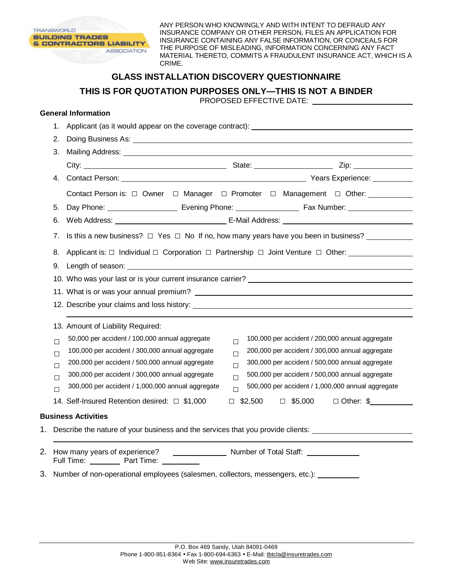

ANY PERSON WHO KNOWINGLY AND WITH INTENT TO DEFRAUD ANY INSURANCE COMPANY OR OTHER PERSON, FILES AN APPLICATION FOR INSURANCE CONTAINING ANY FALSE INFORMATION, OR CONCEALS FOR THE PURPOSE OF MISLEADING, INFORMATION CONCERNING ANY FACT MATERIAL THERETO, COMMITS A FRAUDULENT INSURANCE ACT, WHICH IS A CRIME.

## **GLASS INSTALLATION DISCOVERY QUESTIONNAIRE**

**THIS IS FOR QUOTATION PURPOSES ONLY—THIS IS NOT A BINDER** 

PROPOSED EFFECTIVE DATE:

## **General Information**

|                                                                                    | 1.     | Applicant (as it would appear on the coverage contract): ________________________                                                                                                                                              |  |  |  |  |
|------------------------------------------------------------------------------------|--------|--------------------------------------------------------------------------------------------------------------------------------------------------------------------------------------------------------------------------------|--|--|--|--|
|                                                                                    | 2.     |                                                                                                                                                                                                                                |  |  |  |  |
|                                                                                    | 3.     |                                                                                                                                                                                                                                |  |  |  |  |
|                                                                                    |        |                                                                                                                                                                                                                                |  |  |  |  |
|                                                                                    | 4.     |                                                                                                                                                                                                                                |  |  |  |  |
|                                                                                    |        | Contact Person is: □ Owner □ Manager □ Promoter □ Management □ Other: _________                                                                                                                                                |  |  |  |  |
|                                                                                    | 5.     |                                                                                                                                                                                                                                |  |  |  |  |
|                                                                                    | 6.     |                                                                                                                                                                                                                                |  |  |  |  |
|                                                                                    |        | 7. Is this a new business? $\Box$ Yes $\Box$ No If no, how many years have you been in business?                                                                                                                               |  |  |  |  |
|                                                                                    |        | 8. Applicant is: $\Box$ Individual $\Box$ Corporation $\Box$ Partnership $\Box$ Joint Venture $\Box$ Other:                                                                                                                    |  |  |  |  |
|                                                                                    |        |                                                                                                                                                                                                                                |  |  |  |  |
|                                                                                    |        | 10. Who was your last or is your current insurance carrier? The manufacturer of the manufacturer of the manufacturer of the manufacturer of the manufacturer of the manufacturer of the manufacturer of the manufacturer of th |  |  |  |  |
|                                                                                    |        |                                                                                                                                                                                                                                |  |  |  |  |
|                                                                                    |        |                                                                                                                                                                                                                                |  |  |  |  |
|                                                                                    |        | 13. Amount of Liability Required:                                                                                                                                                                                              |  |  |  |  |
|                                                                                    | $\Box$ | 50,000 per accident / 100,000 annual aggregate<br>100,000 per accident / 200,000 annual aggregate<br>$\Box$                                                                                                                    |  |  |  |  |
|                                                                                    | $\Box$ | 100,000 per accident / 300,000 annual aggregate<br>200,000 per accident / 300,000 annual aggregate<br>$\Box$                                                                                                                   |  |  |  |  |
|                                                                                    | $\Box$ | 200,000 per accident / 500,000 annual aggregate<br>300,000 per accident / 500,000 annual aggregate<br>$\Box$                                                                                                                   |  |  |  |  |
|                                                                                    | $\Box$ | 300,000 per accident / 300,000 annual aggregate<br>500,000 per accident / 500,000 annual aggregate<br>$\Box$                                                                                                                   |  |  |  |  |
|                                                                                    | П      | 300,000 per accident / 1,000,000 annual aggregate<br>500,000 per accident / 1,000,000 annual aggregate<br>$\Box$                                                                                                               |  |  |  |  |
|                                                                                    |        | $\Box$ \$2,500 $\Box$ \$5,000 $\Box$ Other: \$<br>14. Self-Insured Retention desired: □ \$1,000                                                                                                                                |  |  |  |  |
|                                                                                    |        | <b>Business Activities</b>                                                                                                                                                                                                     |  |  |  |  |
| 1. Describe the nature of your business and the services that you provide clients: |        |                                                                                                                                                                                                                                |  |  |  |  |
| 2.                                                                                 |        |                                                                                                                                                                                                                                |  |  |  |  |
|                                                                                    |        | Number of Total Staff: _____________<br>How many years of experience?<br>Full Time: Part Time: Designed a Part Time:                                                                                                           |  |  |  |  |
|                                                                                    |        | 3. Number of non-operational employees (salesmen, collectors, messengers, etc.):                                                                                                                                               |  |  |  |  |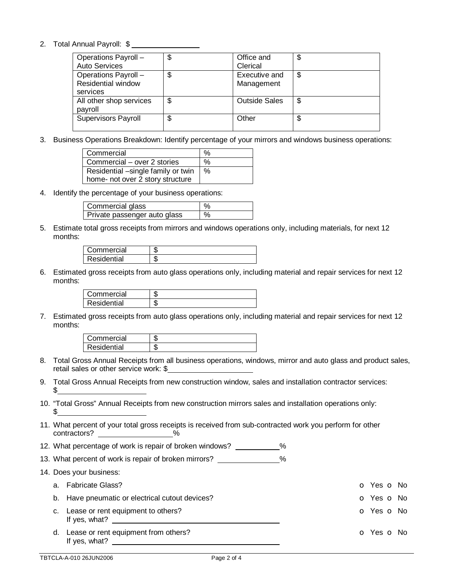## 2. Total Annual Payroll: \$

| Operations Payroll -       | \$<br>Office and           | c<br>D |
|----------------------------|----------------------------|--------|
| <b>Auto Services</b>       | Clerical                   |        |
| Operations Payroll -       | \$<br>Executive and        | \$     |
| <b>Residential window</b>  | Management                 |        |
| services                   |                            |        |
| All other shop services    | \$<br><b>Outside Sales</b> | \$     |
| payroll                    |                            |        |
| <b>Supervisors Payroll</b> | \$<br>Other                | จ      |
|                            |                            |        |

3. Business Operations Breakdown: Identify percentage of your mirrors and windows business operations:

| Commercial                         | $\%$ |
|------------------------------------|------|
| Commercial – over 2 stories        | $\%$ |
| Residential -single family or twin | $\%$ |
| home- not over 2 story structure   |      |

4. Identify the percentage of your business operations:

| Commercial glass             |   |
|------------------------------|---|
| Private passenger auto glass | % |

5. Estimate total gross receipts from mirrors and windows operations only, including materials, for next 12 months:

| Commercial         | w |
|--------------------|---|
| <b>Residential</b> | w |

6. Estimated gross receipts from auto glass operations only, including material and repair services for next 12 months:

| Commercial  | s I. |
|-------------|------|
| Residential | s I. |

7. Estimated gross receipts from auto glass operations only, including material and repair services for next 12 months:

| Commercial  | w |
|-------------|---|
| Residential | w |

- 8. Total Gross Annual Receipts from all business operations, windows, mirror and auto glass and product sales, retail sales or other service work: \$
- 9. Total Gross Annual Receipts from new construction window, sales and installation contractor services:  $^{\circ}$
- 10. "Total Gross" Annual Receipts from new construction mirrors sales and installation operations only:  $$^{\circ}$
- 11. What percent of your total gross receipts is received from sub-contracted work you perform for other contractors? \_\_\_\_\_\_\_\_\_\_\_\_\_\_\_\_\_\_\_\_%
- 12. What percentage of work is repair of broken windows? \_\_\_\_\_\_\_\_\_\_\_%
- 13. What percent of work is repair of broken mirrors? \_\_\_\_\_\_\_\_\_\_\_\_\_\_ %
- 14. Does your business:
	- a. Fabricate Glass? o Yes o No b. Have pneumatic or electrical cutout devices? Comparison on the Comparison of Yes on No. The Vession No. 7 (1997) c. Lease or rent equipment to others? C. Lease or rent equipment to others? If yes, what? d. Lease or rent equipment from others? Compared the control of the Compared Compared Compared Compared Compared Compared Compared Compared Compared Compared Compared Compared Compared Compared Compared Compared Compared C
- TBTCLA-A-010 26JUN2006 Page 2 of 4

If yes, what?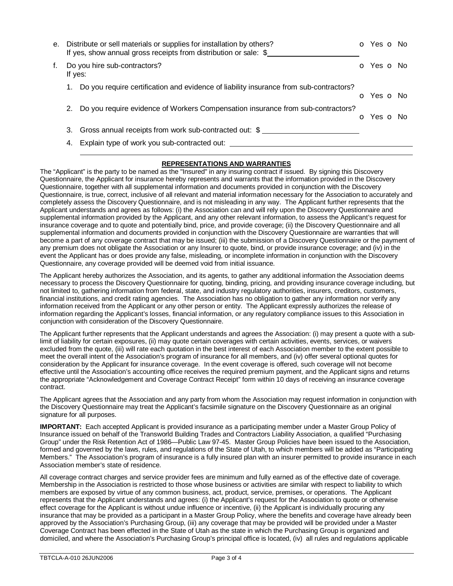| е. |         | Distribute or sell materials or supplies for installation by others?<br>If yes, show annual gross receipts from distribution or sale: \$ | o Yes o No |  |
|----|---------|------------------------------------------------------------------------------------------------------------------------------------------|------------|--|
| f. | If yes: | Do you hire sub-contractors?                                                                                                             | O Yes O No |  |
|    | 1.      | Do you require certification and evidence of liability insurance from sub-contractors?                                                   | O Yes O No |  |
|    | 2.      | Do you require evidence of Workers Compensation insurance from sub-contractors?                                                          | O Yes O No |  |
|    |         | 3. Gross annual receipts from work sub-contracted out: \$                                                                                |            |  |
|    |         | 4. Explain type of work you sub-contracted out:                                                                                          |            |  |

## **REPRESENTATIONS AND WARRANTIES**

The "Applicant" is the party to be named as the "Insured" in any insuring contract if issued. By signing this Discovery Questionnaire, the Applicant for insurance hereby represents and warrants that the information provided in the Discovery Questionnaire, together with all supplemental information and documents provided in conjunction with the Discovery Questionnaire, is true, correct, inclusive of all relevant and material information necessary for the Association to accurately and completely assess the Discovery Questionnaire, and is not misleading in any way. The Applicant further represents that the Applicant understands and agrees as follows: (i) the Association can and will rely upon the Discovery Questionnaire and supplemental information provided by the Applicant, and any other relevant information, to assess the Applicant's request for insurance coverage and to quote and potentially bind, price, and provide coverage; (ii) the Discovery Questionnaire and all supplemental information and documents provided in conjunction with the Discovery Questionnaire are warranties that will become a part of any coverage contract that may be issued; (iii) the submission of a Discovery Questionnaire or the payment of any premium does not obligate the Association or any Insurer to quote, bind, or provide insurance coverage; and (iv) in the event the Applicant has or does provide any false, misleading, or incomplete information in conjunction with the Discovery Questionnaire, any coverage provided will be deemed void from initial issuance.

The Applicant hereby authorizes the Association, and its agents, to gather any additional information the Association deems necessary to process the Discovery Questionnaire for quoting, binding, pricing, and providing insurance coverage including, but not limited to, gathering information from federal, state, and industry regulatory authorities, insurers, creditors, customers, financial institutions, and credit rating agencies. The Association has no obligation to gather any information nor verify any information received from the Applicant or any other person or entity. The Applicant expressly authorizes the release of information regarding the Applicant's losses, financial information, or any regulatory compliance issues to this Association in conjunction with consideration of the Discovery Questionnaire.

The Applicant further represents that the Applicant understands and agrees the Association: (i) may present a quote with a sublimit of liability for certain exposures, (ii) may quote certain coverages with certain activities, events, services, or waivers excluded from the quote, (iii) will rate each quotation in the best interest of each Association member to the extent possible to meet the overall intent of the Association's program of insurance for all members, and (iv) offer several optional quotes for consideration by the Applicant for insurance coverage. In the event coverage is offered, such coverage will not become effective until the Association's accounting office receives the required premium payment, and the Applicant signs and returns the appropriate "Acknowledgement and Coverage Contract Receipt" form within 10 days of receiving an insurance coverage contract.

The Applicant agrees that the Association and any party from whom the Association may request information in conjunction with the Discovery Questionnaire may treat the Applicant's facsimile signature on the Discovery Questionnaire as an original signature for all purposes.

**IMPORTANT:** Each accepted Applicant is provided insurance as a participating member under a Master Group Policy of Insurance issued on behalf of the Transworld Building Trades and Contractors Liability Association, a qualified "Purchasing Group" under the Risk Retention Act of 1986—Public Law 97-45. Master Group Policies have been issued to the Association, formed and governed by the laws, rules, and regulations of the State of Utah, to which members will be added as "Participating Members." The Association's program of insurance is a fully insured plan with an insurer permitted to provide insurance in each Association member's state of residence.

All coverage contract charges and service provider fees are minimum and fully earned as of the effective date of coverage. Membership in the Association is restricted to those whose business or activities are similar with respect to liability to which members are exposed by virtue of any common business, act, product, service, premises, or operations. The Applicant represents that the Applicant understands and agrees: (i) the Applicant's request for the Association to quote or otherwise effect coverage for the Applicant is without undue influence or incentive, (ii) the Applicant is individually procuring any insurance that may be provided as a participant in a Master Group Policy, where the benefits and coverage have already been approved by the Association's Purchasing Group, (iii) any coverage that may be provided will be provided under a Master Coverage Contract has been effected in the State of Utah as the state in which the Purchasing Group is organized and domiciled, and where the Association's Purchasing Group's principal office is located, (iv) all rules and regulations applicable